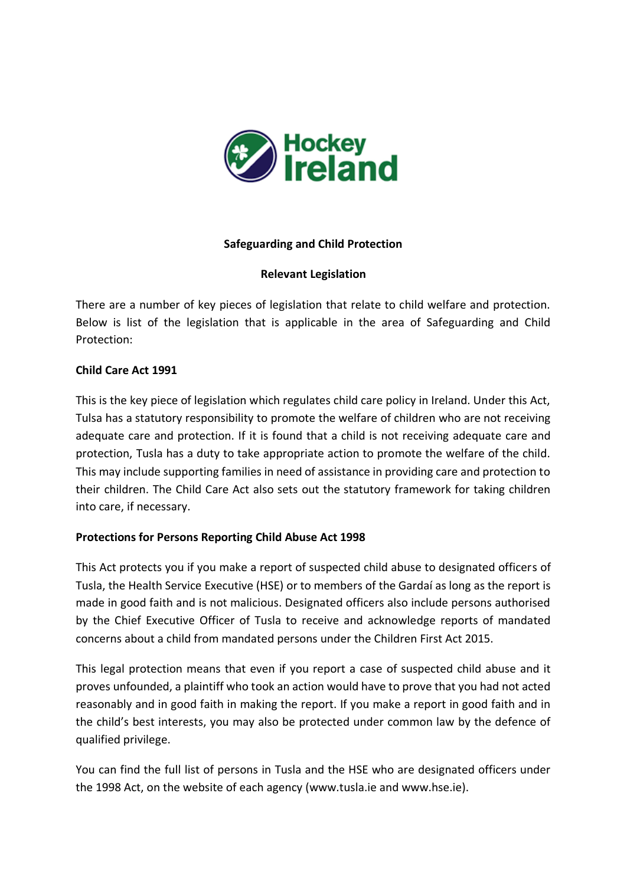

## **Safeguarding and Child Protection**

#### **Relevant Legislation**

There are a number of key pieces of legislation that relate to child welfare and protection. Below is list of the legislation that is applicable in the area of Safeguarding and Child Protection:

#### **Child Care Act 1991**

This is the key piece of legislation which regulates child care policy in Ireland. Under this Act, Tulsa has a statutory responsibility to promote the welfare of children who are not receiving adequate care and protection. If it is found that a child is not receiving adequate care and protection, Tusla has a duty to take appropriate action to promote the welfare of the child. This may include supporting families in need of assistance in providing care and protection to their children. The Child Care Act also sets out the statutory framework for taking children into care, if necessary.

## **Protections for Persons Reporting Child Abuse Act 1998**

This Act protects you if you make a report of suspected child abuse to designated officers of Tusla, the Health Service Executive (HSE) or to members of the Gardaí as long as the report is made in good faith and is not malicious. Designated officers also include persons authorised by the Chief Executive Officer of Tusla to receive and acknowledge reports of mandated concerns about a child from mandated persons under the Children First Act 2015.

This legal protection means that even if you report a case of suspected child abuse and it proves unfounded, a plaintiff who took an action would have to prove that you had not acted reasonably and in good faith in making the report. If you make a report in good faith and in the child's best interests, you may also be protected under common law by the defence of qualified privilege.

You can find the full list of persons in Tusla and the HSE who are designated officers under the 1998 Act, on the website of each agency (www.tusla.ie and www.hse.ie).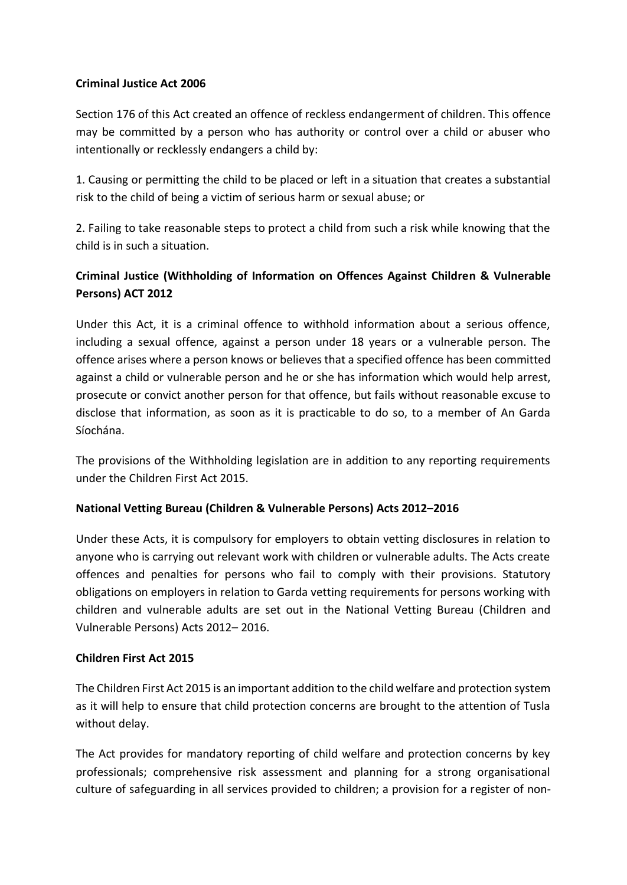## **Criminal Justice Act 2006**

Section 176 of this Act created an offence of reckless endangerment of children. This offence may be committed by a person who has authority or control over a child or abuser who intentionally or recklessly endangers a child by:

1. Causing or permitting the child to be placed or left in a situation that creates a substantial risk to the child of being a victim of serious harm or sexual abuse; or

2. Failing to take reasonable steps to protect a child from such a risk while knowing that the child is in such a situation.

# **Criminal Justice (Withholding of Information on Offences Against Children & Vulnerable Persons) ACT 2012**

Under this Act, it is a criminal offence to withhold information about a serious offence, including a sexual offence, against a person under 18 years or a vulnerable person. The offence arises where a person knows or believes that a specified offence has been committed against a child or vulnerable person and he or she has information which would help arrest, prosecute or convict another person for that offence, but fails without reasonable excuse to disclose that information, as soon as it is practicable to do so, to a member of An Garda Síochána.

The provisions of the Withholding legislation are in addition to any reporting requirements under the Children First Act 2015.

## **National Vetting Bureau (Children & Vulnerable Persons) Acts 2012–2016**

Under these Acts, it is compulsory for employers to obtain vetting disclosures in relation to anyone who is carrying out relevant work with children or vulnerable adults. The Acts create offences and penalties for persons who fail to comply with their provisions. Statutory obligations on employers in relation to Garda vetting requirements for persons working with children and vulnerable adults are set out in the National Vetting Bureau (Children and Vulnerable Persons) Acts 2012– 2016.

## **Children First Act 2015**

The Children First Act 2015 is an important addition to the child welfare and protection system as it will help to ensure that child protection concerns are brought to the attention of Tusla without delay.

The Act provides for mandatory reporting of child welfare and protection concerns by key professionals; comprehensive risk assessment and planning for a strong organisational culture of safeguarding in all services provided to children; a provision for a register of non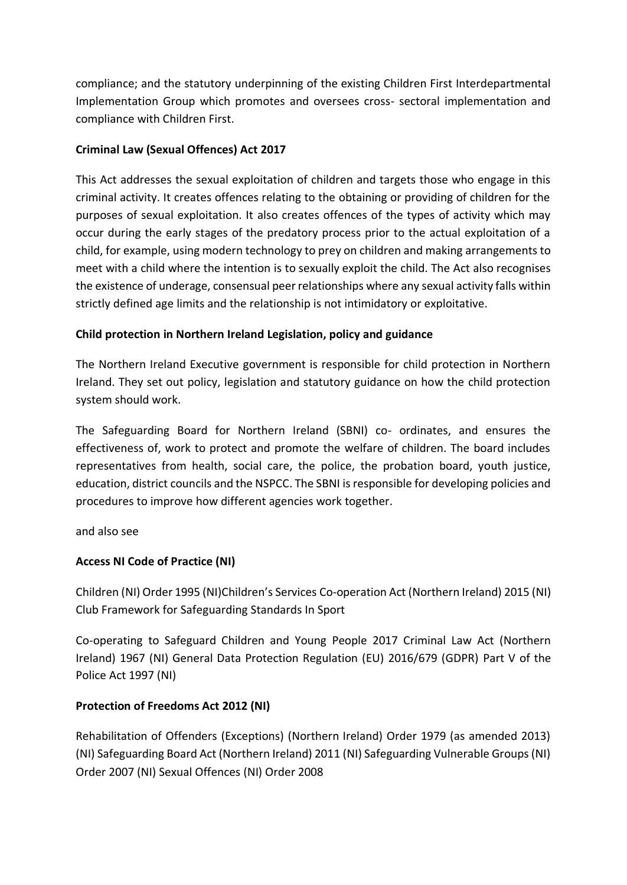compliance; and the statutory underpinning of the existing Children First Interdepartmental Implementation Group which promotes and oversees cross- sectoral implementation and compliance with Children First.

# **Criminal Law (Sexual Offences) Act 2017**

This Act addresses the sexual exploitation of children and targets those who engage in this criminal activity. It creates offences relating to the obtaining or providing of children for the purposes of sexual exploitation. It also creates offences of the types of activity which may occur during the early stages of the predatory process prior to the actual exploitation of a child, for example, using modern technology to prey on children and making arrangements to meet with a child where the intention is to sexually exploit the child. The Act also recognises the existence of underage, consensual peer relationships where any sexual activity falls within strictly defined age limits and the relationship is not intimidatory or exploitative.

## **Child protection in Northern Ireland Legislation, policy and guidance**

The Northern Ireland Executive government is responsible for child protection in Northern Ireland. They set out policy, legislation and statutory guidance on how the child protection system should work.

The Safeguarding Board for Northern Ireland (SBNI) co- ordinates, and ensures the effectiveness of, work to protect and promote the welfare of children. The board includes representatives from health, social care, the police, the probation board, youth justice, education, district councils and the NSPCC. The SBNI is responsible for developing policies and procedures to improve how different agencies work together.

and also see

# **Access NI Code of Practice (NI)**

Children (NI) Order 1995 (NI)Children's Services Co-operation Act (Northern Ireland) 2015 (NI) Club Framework for Safeguarding Standards In Sport

Co-operating to Safeguard Children and Young People 2017 Criminal Law Act (Northern Ireland) 1967 (NI) General Data Protection Regulation (EU) 2016/679 (GDPR) Part V of the Police Act 1997 (NI)

## **Protection of Freedoms Act 2012 (NI)**

Rehabilitation of Offenders (Exceptions) (Northern Ireland) Order 1979 (as amended 2013) (NI) Safeguarding Board Act (Northern Ireland) 2011 (NI) Safeguarding Vulnerable Groups (NI) Order 2007 (NI) Sexual Offences (NI) Order 2008